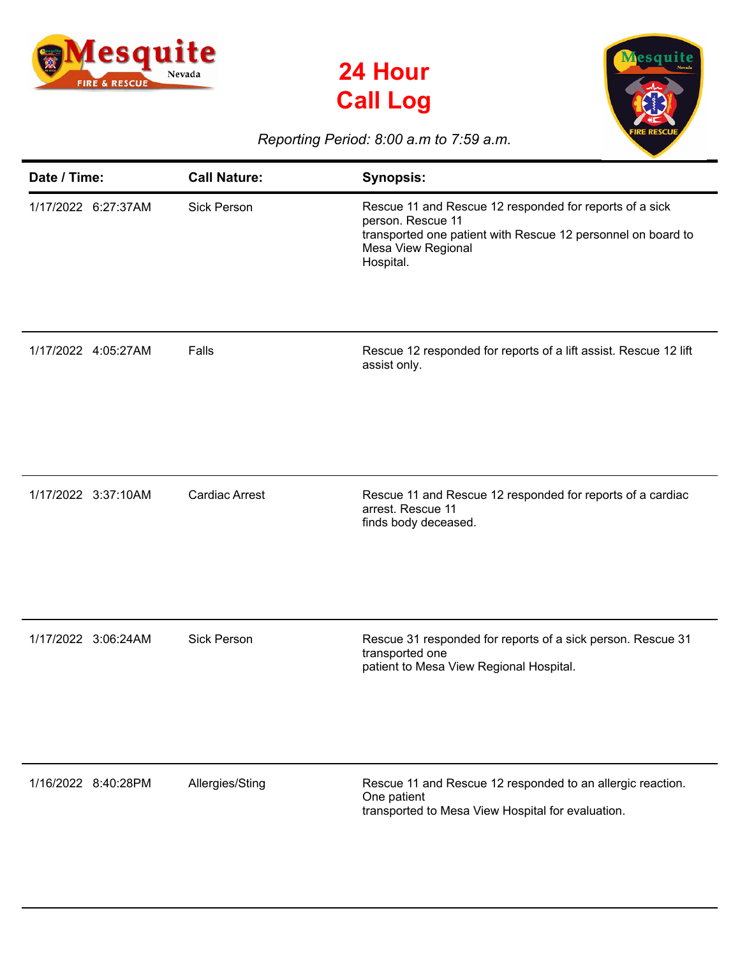

## **24 Hour Call Log**



## *Reporting Period: 8:00 a.m to 7:59 a.m.*

| Date / Time:        | <b>Call Nature:</b>   | <b>Synopsis:</b>                                                                                                                                                                |
|---------------------|-----------------------|---------------------------------------------------------------------------------------------------------------------------------------------------------------------------------|
| 1/17/2022 6:27:37AM | <b>Sick Person</b>    | Rescue 11 and Rescue 12 responded for reports of a sick<br>person. Rescue 11<br>transported one patient with Rescue 12 personnel on board to<br>Mesa View Regional<br>Hospital. |
| 1/17/2022 4:05:27AM | Falls                 | Rescue 12 responded for reports of a lift assist. Rescue 12 lift<br>assist only.                                                                                                |
| 1/17/2022 3:37:10AM | <b>Cardiac Arrest</b> | Rescue 11 and Rescue 12 responded for reports of a cardiac<br>arrest. Rescue 11<br>finds body deceased.                                                                         |
| 1/17/2022 3:06:24AM | <b>Sick Person</b>    | Rescue 31 responded for reports of a sick person. Rescue 31<br>transported one<br>patient to Mesa View Regional Hospital.                                                       |
| 1/16/2022 8:40:28PM | Allergies/Sting       | Rescue 11 and Rescue 12 responded to an allergic reaction.<br>One patient<br>transported to Mesa View Hospital for evaluation.                                                  |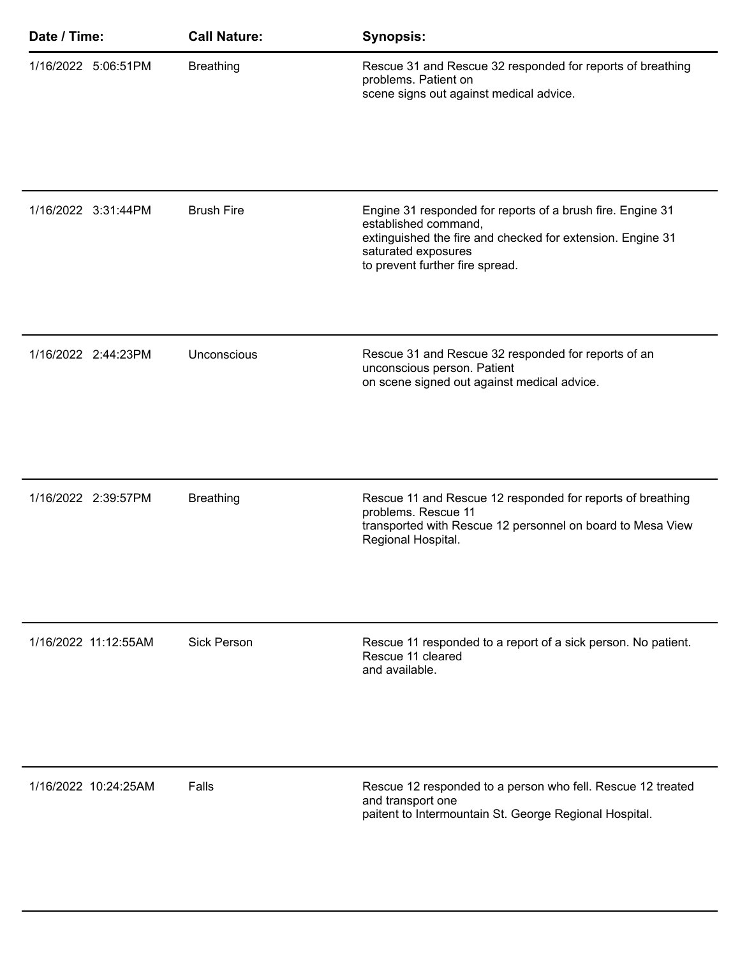| Date / Time:         | <b>Call Nature:</b> | <b>Synopsis:</b>                                                                                                                                                                                           |
|----------------------|---------------------|------------------------------------------------------------------------------------------------------------------------------------------------------------------------------------------------------------|
| 1/16/2022 5:06:51PM  | <b>Breathing</b>    | Rescue 31 and Rescue 32 responded for reports of breathing<br>problems. Patient on<br>scene signs out against medical advice.                                                                              |
| 1/16/2022 3:31:44PM  | <b>Brush Fire</b>   | Engine 31 responded for reports of a brush fire. Engine 31<br>established command,<br>extinguished the fire and checked for extension. Engine 31<br>saturated exposures<br>to prevent further fire spread. |
| 1/16/2022 2:44:23PM  | Unconscious         | Rescue 31 and Rescue 32 responded for reports of an<br>unconscious person. Patient<br>on scene signed out against medical advice.                                                                          |
| 1/16/2022 2:39:57PM  | <b>Breathing</b>    | Rescue 11 and Rescue 12 responded for reports of breathing<br>problems. Rescue 11<br>transported with Rescue 12 personnel on board to Mesa View<br>Regional Hospital.                                      |
| 1/16/2022 11:12:55AM | <b>Sick Person</b>  | Rescue 11 responded to a report of a sick person. No patient.<br>Rescue 11 cleared<br>and available.                                                                                                       |
| 1/16/2022 10:24:25AM | Falls               | Rescue 12 responded to a person who fell. Rescue 12 treated<br>and transport one<br>paitent to Intermountain St. George Regional Hospital.                                                                 |